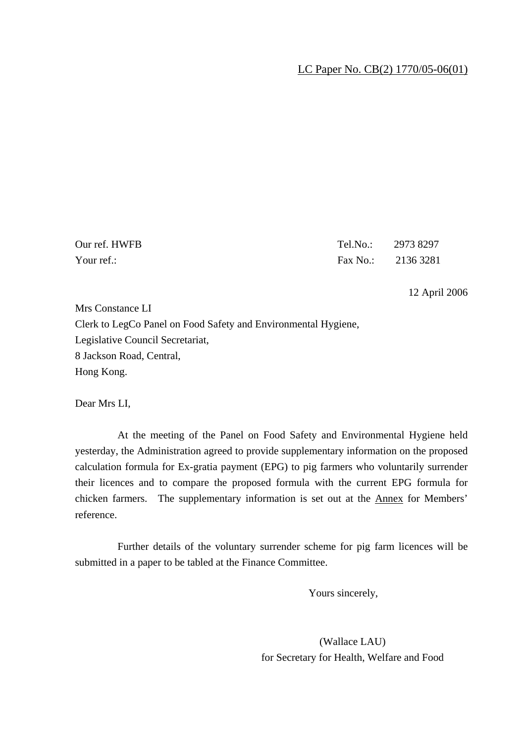## LC Paper No. CB(2) 1770/05-06(01)

| Our ref. HWFB | Tel.No.: 2973 8297 |  |
|---------------|--------------------|--|
| Your ref.:    | Fax No.: 2136 3281 |  |

12 April 2006

Mrs Constance LI Clerk to LegCo Panel on Food Safety and Environmental Hygiene, Legislative Council Secretariat, 8 Jackson Road, Central, Hong Kong.

Dear Mrs LI,

 At the meeting of the Panel on Food Safety and Environmental Hygiene held yesterday, the Administration agreed to provide supplementary information on the proposed calculation formula for Ex-gratia payment (EPG) to pig farmers who voluntarily surrender their licences and to compare the proposed formula with the current EPG formula for chicken farmers. The supplementary information is set out at the Annex for Members' reference.

 Further details of the voluntary surrender scheme for pig farm licences will be submitted in a paper to be tabled at the Finance Committee.

Yours sincerely,

(Wallace LAU) for Secretary for Health, Welfare and Food